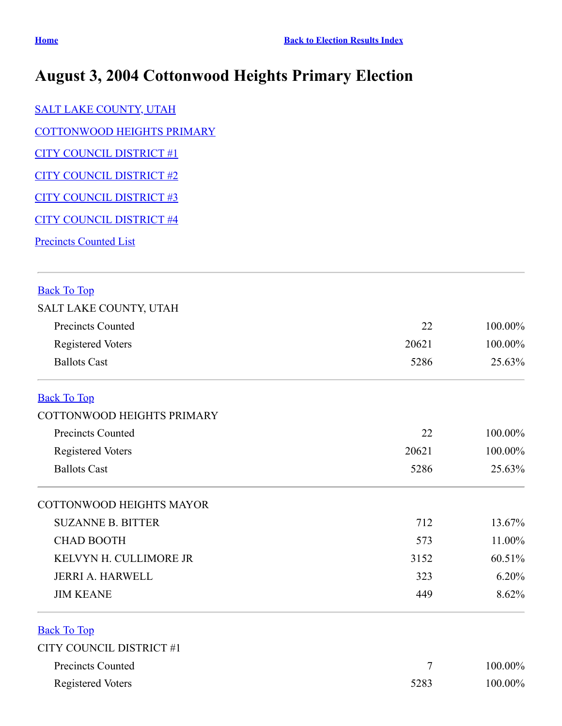## **August 3, 2004 Cottonwood Heights Primary Election**

[SALT LAKE COUNTY, UTAH](#page-0-0)

[COTTONWOOD HEIGHTS PRIMARY](#page-0-1)

[CITY COUNCIL DISTRICT #1](#page-0-2)

[CITY COUNCIL DISTRICT #2](#page-1-0)

[CITY COUNCIL DISTRICT #3](#page-1-1)

[CITY COUNCIL DISTRICT #4](#page-2-0)

**[Precincts Counted List](#page-2-1)** 

## <span id="page-0-0"></span>Back To Top

| SALT LAKE COUNTY, UTAH |  |
|------------------------|--|
|------------------------|--|

| Precincts Counted   | 22    | $100.00\%$ |
|---------------------|-------|------------|
| Registered Voters   | 20621 | 100.00%    |
| <b>Ballots Cast</b> | 5286  | 25.63%     |

## <span id="page-0-1"></span>Back To Top

| COTTONWOOD HEIGHTS PRIMARY                      |       |                                    |
|-------------------------------------------------|-------|------------------------------------|
| Precincts Counted                               | 22    | $100.00\%$<br>$100.00\%$<br>25.63% |
| <b>Registered Voters</b><br><b>Ballots Cast</b> | 20621 |                                    |
|                                                 | 5286  |                                    |
| COTTONWOOD HEIGHTS MAYOR                        |       |                                    |
| SHZANNE R RITTER                                | 712   | 13.67%                             |

| SUZANNE D. DI LIEK     | 7 L Z | 13.0/70   |
|------------------------|-------|-----------|
| <b>CHAD BOOTH</b>      | 573   | $11.00\%$ |
| KELVYN H. CULLIMORE JR | 3152  | 60.51%    |
| JERRI A. HARWELL       | 323   | $6.20\%$  |
| <b>JIM KEANE</b>       | 449   | $8.62\%$  |

## <span id="page-0-2"></span>Back To Top

| CITY COUNCIL DISTRICT #1 |      |         |
|--------------------------|------|---------|
| Precincts Counted        |      | 100.00% |
| Registered Voters        | 5283 | 100.00% |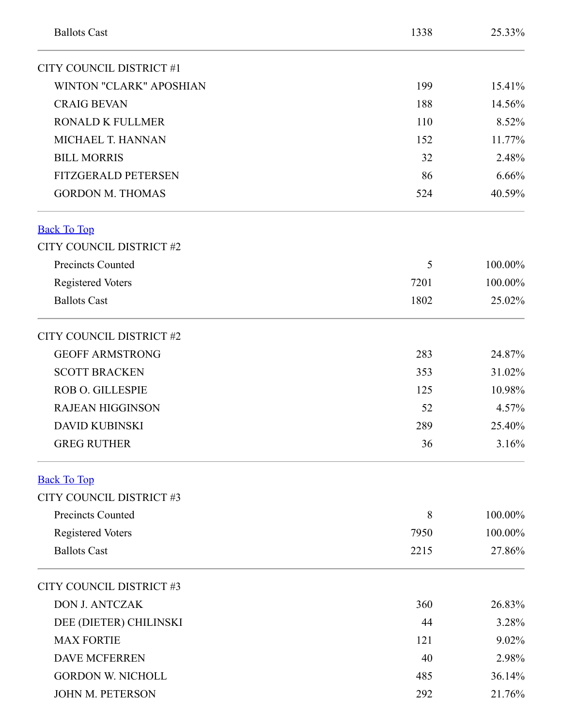<span id="page-1-1"></span><span id="page-1-0"></span>

| <b>Ballots Cast</b>            | 1338 | 25.33%  |
|--------------------------------|------|---------|
| CITY COUNCIL DISTRICT #1       |      |         |
| <b>WINTON "CLARK" APOSHIAN</b> | 199  | 15.41%  |
| <b>CRAIG BEVAN</b>             | 188  | 14.56%  |
| <b>RONALD K FULLMER</b>        | 110  | 8.52%   |
| MICHAEL T. HANNAN              | 152  | 11.77%  |
| <b>BILL MORRIS</b>             | 32   | 2.48%   |
| <b>FITZGERALD PETERSEN</b>     | 86   | 6.66%   |
| <b>GORDON M. THOMAS</b>        | 524  | 40.59%  |
| <b>Back To Top</b>             |      |         |
| CITY COUNCIL DISTRICT #2       |      |         |
| Precincts Counted              | 5    | 100.00% |
| <b>Registered Voters</b>       | 7201 | 100.00% |
| <b>Ballots Cast</b>            | 1802 | 25.02%  |
| CITY COUNCIL DISTRICT #2       |      |         |
| <b>GEOFF ARMSTRONG</b>         | 283  | 24.87%  |
| <b>SCOTT BRACKEN</b>           | 353  | 31.02%  |
| <b>ROB O. GILLESPIE</b>        | 125  | 10.98%  |
| <b>RAJEAN HIGGINSON</b>        | 52   | 4.57%   |
| <b>DAVID KUBINSKI</b>          | 289  | 25.40%  |
| <b>GREG RUTHER</b>             | 36   | 3.16%   |
| <b>Back To Top</b>             |      |         |
| CITY COUNCIL DISTRICT #3       |      |         |
| <b>Precincts Counted</b>       | 8    | 100.00% |
| <b>Registered Voters</b>       | 7950 | 100.00% |
| <b>Ballots Cast</b>            | 2215 | 27.86%  |
| CITY COUNCIL DISTRICT #3       |      |         |
| <b>DON J. ANTCZAK</b>          | 360  | 26.83%  |
| DEE (DIETER) CHILINSKI         | 44   | 3.28%   |
| <b>MAX FORTIE</b>              | 121  | 9.02%   |
| <b>DAVE MCFERREN</b>           | 40   | 2.98%   |
| <b>GORDON W. NICHOLL</b>       | 485  | 36.14%  |
| JOHN M. PETERSON               | 292  | 21.76%  |